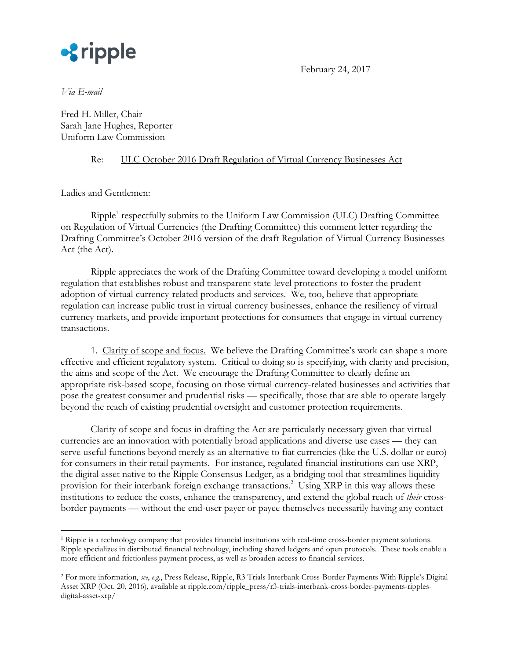

February 24, 2017

*Via E-mail*

Fred H. Miller, Chair Sarah Jane Hughes, Reporter Uniform Law Commission

## Re: ULC October 2016 Draft Regulation of Virtual Currency Businesses Act

Ladies and Gentlemen:

Ripple<sup>1</sup> respectfully submits to the Uniform Law Commission (ULC) Drafting Committee on Regulation of Virtual Currencies (the Drafting Committee) this comment letter regarding the Drafting Committee's October 2016 version of the draft Regulation of Virtual Currency Businesses Act (the Act).

Ripple appreciates the work of the Drafting Committee toward developing a model uniform regulation that establishes robust and transparent state-level protections to foster the prudent adoption of virtual currency-related products and services. We, too, believe that appropriate regulation can increase public trust in virtual currency businesses, enhance the resiliency of virtual currency markets, and provide important protections for consumers that engage in virtual currency transactions.

1. Clarity of scope and focus. We believe the Drafting Committee's work can shape a more effective and efficient regulatory system. Critical to doing so is specifying, with clarity and precision, the aims and scope of the Act. We encourage the Drafting Committee to clearly define an appropriate risk-based scope, focusing on those virtual currency-related businesses and activities that pose the greatest consumer and prudential risks — specifically, those that are able to operate largely beyond the reach of existing prudential oversight and customer protection requirements.

Clarity of scope and focus in drafting the Act are particularly necessary given that virtual currencies are an innovation with potentially broad applications and diverse use cases — they can serve useful functions beyond merely as an alternative to fiat currencies (like the U.S. dollar or euro) for consumers in their retail payments. For instance, regulated financial institutions can use XRP, the digital asset native to the Ripple Consensus Ledger, as a bridging tool that streamlines liquidity provision for their interbank foreign exchange transactions.<sup>2</sup> Using XRP in this way allows these institutions to reduce the costs, enhance the transparency, and extend the global reach of *their* crossborder payments — without the end-user payer or payee themselves necessarily having any contact

 <sup>1</sup> Ripple is a technology company that provides financial institutions with real-time cross-border payment solutions. Ripple specializes in distributed financial technology, including shared ledgers and open protocols. These tools enable a more efficient and frictionless payment process, as well as broaden access to financial services.

<sup>2</sup> For more information, *see*, *e.g.*, Press Release, Ripple, R3 Trials Interbank Cross-Border Payments With Ripple's Digital Asset XRP (Oct. 20, 2016), available at ripple.com/ripple\_press/r3-trials-interbank-cross-border-payments-ripplesdigital-asset-xrp/